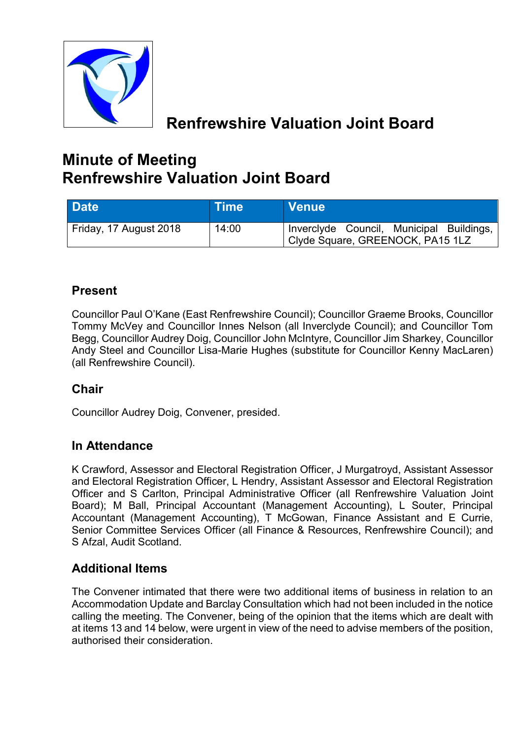

# **Renfrewshire Valuation Joint Board**

# **Minute of Meeting Renfrewshire Valuation Joint Board**

| <b>Date</b>            | <b>NTime</b> | <b>Venue</b>                                                                 |
|------------------------|--------------|------------------------------------------------------------------------------|
| Friday, 17 August 2018 | 14:00        | Inverclyde Council, Municipal Buildings,<br>Clyde Square, GREENOCK, PA15 1LZ |

# **Present**

Councillor Paul O'Kane (East Renfrewshire Council); Councillor Graeme Brooks, Councillor Tommy McVey and Councillor Innes Nelson (all Inverclyde Council); and Councillor Tom Begg, Councillor Audrey Doig, Councillor John McIntyre, Councillor Jim Sharkey, Councillor Andy Steel and Councillor Lisa-Marie Hughes (substitute for Councillor Kenny MacLaren) (all Renfrewshire Council).

# **Chair**

Councillor Audrey Doig, Convener, presided.

# **In Attendance**

K Crawford, Assessor and Electoral Registration Officer, J Murgatroyd, Assistant Assessor and Electoral Registration Officer, L Hendry, Assistant Assessor and Electoral Registration Officer and S Carlton, Principal Administrative Officer (all Renfrewshire Valuation Joint Board); M Ball, Principal Accountant (Management Accounting), L Souter, Principal Accountant (Management Accounting), T McGowan, Finance Assistant and E Currie, Senior Committee Services Officer (all Finance & Resources, Renfrewshire Council); and S Afzal, Audit Scotland.

# **Additional Items**

The Convener intimated that there were two additional items of business in relation to an Accommodation Update and Barclay Consultation which had not been included in the notice calling the meeting. The Convener, being of the opinion that the items which are dealt with at items 13 and 14 below, were urgent in view of the need to advise members of the position, authorised their consideration.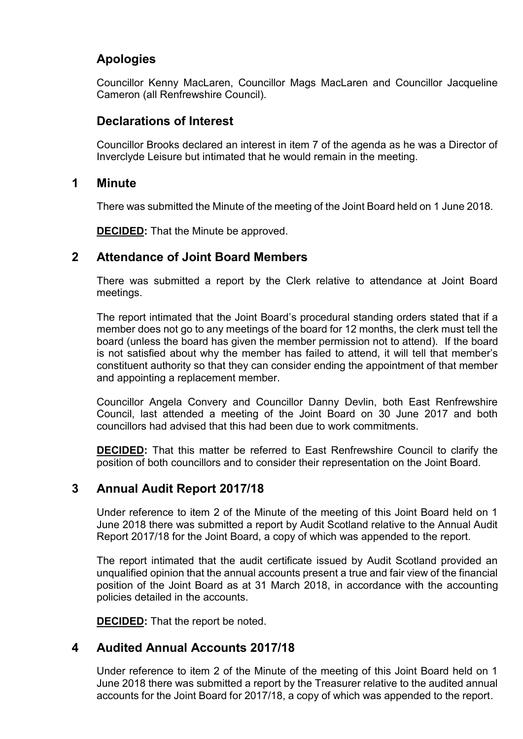# **Apologies**

Councillor Kenny MacLaren, Councillor Mags MacLaren and Councillor Jacqueline Cameron (all Renfrewshire Council).

## **Declarations of Interest**

Councillor Brooks declared an interest in item 7 of the agenda as he was a Director of Inverclyde Leisure but intimated that he would remain in the meeting.

#### **1 Minute**

There was submitted the Minute of the meeting of the Joint Board held on 1 June 2018.

**DECIDED:** That the Minute be approved.

## **2 Attendance of Joint Board Members**

There was submitted a report by the Clerk relative to attendance at Joint Board meetings.

The report intimated that the Joint Board's procedural standing orders stated that if a member does not go to any meetings of the board for 12 months, the clerk must tell the board (unless the board has given the member permission not to attend). If the board is not satisfied about why the member has failed to attend, it will tell that member's constituent authority so that they can consider ending the appointment of that member and appointing a replacement member.

Councillor Angela Convery and Councillor Danny Devlin, both East Renfrewshire Council, last attended a meeting of the Joint Board on 30 June 2017 and both councillors had advised that this had been due to work commitments.

**DECIDED:** That this matter be referred to East Renfrewshire Council to clarify the position of both councillors and to consider their representation on the Joint Board.

# **3 Annual Audit Report 2017/18**

Under reference to item 2 of the Minute of the meeting of this Joint Board held on 1 June 2018 there was submitted a report by Audit Scotland relative to the Annual Audit Report 2017/18 for the Joint Board, a copy of which was appended to the report.

The report intimated that the audit certificate issued by Audit Scotland provided an unqualified opinion that the annual accounts present a true and fair view of the financial position of the Joint Board as at 31 March 2018, in accordance with the accounting policies detailed in the accounts.

**DECIDED:** That the report be noted.

# **4 Audited Annual Accounts 2017/18**

Under reference to item 2 of the Minute of the meeting of this Joint Board held on 1 June 2018 there was submitted a report by the Treasurer relative to the audited annual accounts for the Joint Board for 2017/18, a copy of which was appended to the report.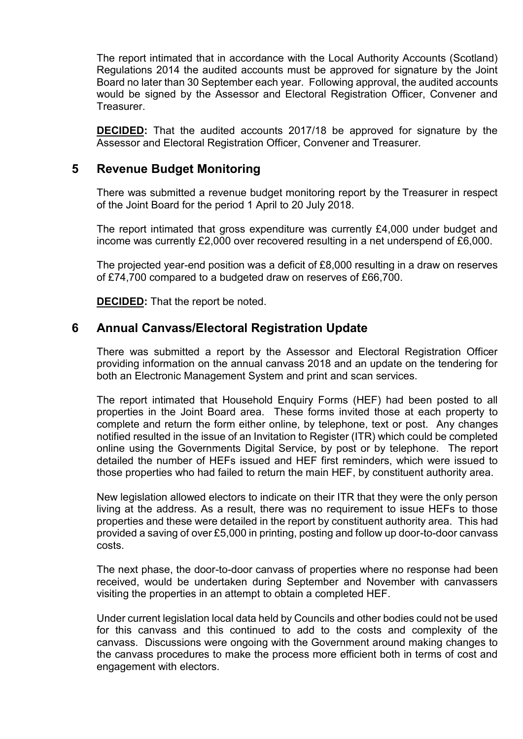The report intimated that in accordance with the Local Authority Accounts (Scotland) Regulations 2014 the audited accounts must be approved for signature by the Joint Board no later than 30 September each year. Following approval, the audited accounts would be signed by the Assessor and Electoral Registration Officer, Convener and **Treasurer.** 

**DECIDED:** That the audited accounts 2017/18 be approved for signature by the Assessor and Electoral Registration Officer, Convener and Treasurer.

#### **5 Revenue Budget Monitoring**

There was submitted a revenue budget monitoring report by the Treasurer in respect of the Joint Board for the period 1 April to 20 July 2018.

The report intimated that gross expenditure was currently £4,000 under budget and income was currently £2,000 over recovered resulting in a net underspend of £6,000.

The projected year-end position was a deficit of £8,000 resulting in a draw on reserves of £74,700 compared to a budgeted draw on reserves of £66,700.

**DECIDED:** That the report be noted.

#### **6 Annual Canvass/Electoral Registration Update**

There was submitted a report by the Assessor and Electoral Registration Officer providing information on the annual canvass 2018 and an update on the tendering for both an Electronic Management System and print and scan services.

The report intimated that Household Enquiry Forms (HEF) had been posted to all properties in the Joint Board area. These forms invited those at each property to complete and return the form either online, by telephone, text or post. Any changes notified resulted in the issue of an Invitation to Register (ITR) which could be completed online using the Governments Digital Service, by post or by telephone. The report detailed the number of HEFs issued and HEF first reminders, which were issued to those properties who had failed to return the main HEF, by constituent authority area.

New legislation allowed electors to indicate on their ITR that they were the only person living at the address. As a result, there was no requirement to issue HEFs to those properties and these were detailed in the report by constituent authority area. This had provided a saving of over £5,000 in printing, posting and follow up door-to-door canvass costs.

The next phase, the door-to-door canvass of properties where no response had been received, would be undertaken during September and November with canvassers visiting the properties in an attempt to obtain a completed HEF.

Under current legislation local data held by Councils and other bodies could not be used for this canvass and this continued to add to the costs and complexity of the canvass. Discussions were ongoing with the Government around making changes to the canvass procedures to make the process more efficient both in terms of cost and engagement with electors.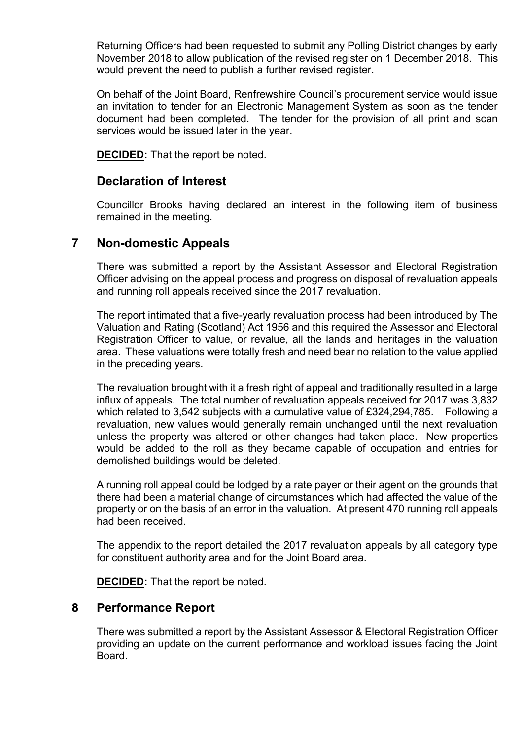Returning Officers had been requested to submit any Polling District changes by early November 2018 to allow publication of the revised register on 1 December 2018. This would prevent the need to publish a further revised register.

On behalf of the Joint Board, Renfrewshire Council's procurement service would issue an invitation to tender for an Electronic Management System as soon as the tender document had been completed. The tender for the provision of all print and scan services would be issued later in the year.

**DECIDED:** That the report be noted.

### **Declaration of Interest**

Councillor Brooks having declared an interest in the following item of business remained in the meeting.

### **7 Non-domestic Appeals**

There was submitted a report by the Assistant Assessor and Electoral Registration Officer advising on the appeal process and progress on disposal of revaluation appeals and running roll appeals received since the 2017 revaluation.

The report intimated that a five-yearly revaluation process had been introduced by The Valuation and Rating (Scotland) Act 1956 and this required the Assessor and Electoral Registration Officer to value, or revalue, all the lands and heritages in the valuation area. These valuations were totally fresh and need bear no relation to the value applied in the preceding years.

The revaluation brought with it a fresh right of appeal and traditionally resulted in a large influx of appeals. The total number of revaluation appeals received for 2017 was 3,832 which related to 3,542 subjects with a cumulative value of £324,294,785. Following a revaluation, new values would generally remain unchanged until the next revaluation unless the property was altered or other changes had taken place. New properties would be added to the roll as they became capable of occupation and entries for demolished buildings would be deleted.

A running roll appeal could be lodged by a rate payer or their agent on the grounds that there had been a material change of circumstances which had affected the value of the property or on the basis of an error in the valuation. At present 470 running roll appeals had been received.

The appendix to the report detailed the 2017 revaluation appeals by all category type for constituent authority area and for the Joint Board area.

**DECIDED:** That the report be noted.

### **8 Performance Report**

There was submitted a report by the Assistant Assessor & Electoral Registration Officer providing an update on the current performance and workload issues facing the Joint **Board**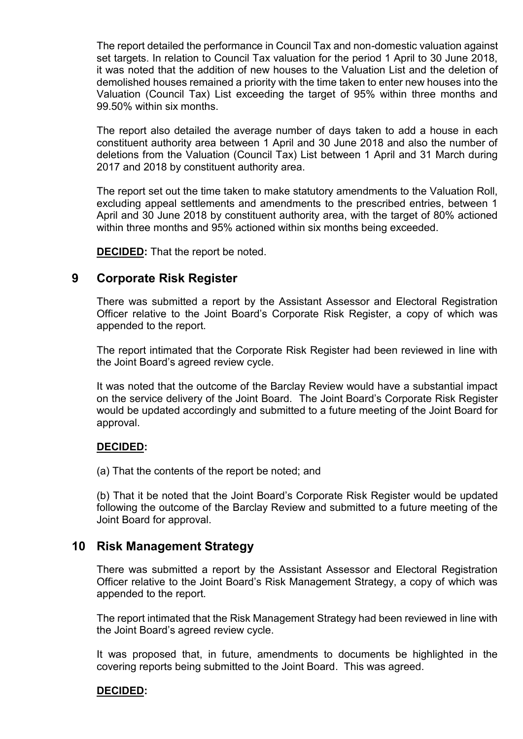The report detailed the performance in Council Tax and non-domestic valuation against set targets. In relation to Council Tax valuation for the period 1 April to 30 June 2018, it was noted that the addition of new houses to the Valuation List and the deletion of demolished houses remained a priority with the time taken to enter new houses into the Valuation (Council Tax) List exceeding the target of 95% within three months and 99.50% within six months.

The report also detailed the average number of days taken to add a house in each constituent authority area between 1 April and 30 June 2018 and also the number of deletions from the Valuation (Council Tax) List between 1 April and 31 March during 2017 and 2018 by constituent authority area.

The report set out the time taken to make statutory amendments to the Valuation Roll, excluding appeal settlements and amendments to the prescribed entries, between 1 April and 30 June 2018 by constituent authority area, with the target of 80% actioned within three months and 95% actioned within six months being exceeded.

**DECIDED:** That the report be noted.

#### **9 Corporate Risk Register**

There was submitted a report by the Assistant Assessor and Electoral Registration Officer relative to the Joint Board's Corporate Risk Register, a copy of which was appended to the report.

The report intimated that the Corporate Risk Register had been reviewed in line with the Joint Board's agreed review cycle.

It was noted that the outcome of the Barclay Review would have a substantial impact on the service delivery of the Joint Board. The Joint Board's Corporate Risk Register would be updated accordingly and submitted to a future meeting of the Joint Board for approval.

#### **DECIDED:**

(a) That the contents of the report be noted; and

(b) That it be noted that the Joint Board's Corporate Risk Register would be updated following the outcome of the Barclay Review and submitted to a future meeting of the Joint Board for approval.

#### **10 Risk Management Strategy**

There was submitted a report by the Assistant Assessor and Electoral Registration Officer relative to the Joint Board's Risk Management Strategy, a copy of which was appended to the report.

The report intimated that the Risk Management Strategy had been reviewed in line with the Joint Board's agreed review cycle.

It was proposed that, in future, amendments to documents be highlighted in the covering reports being submitted to the Joint Board. This was agreed.

#### **DECIDED:**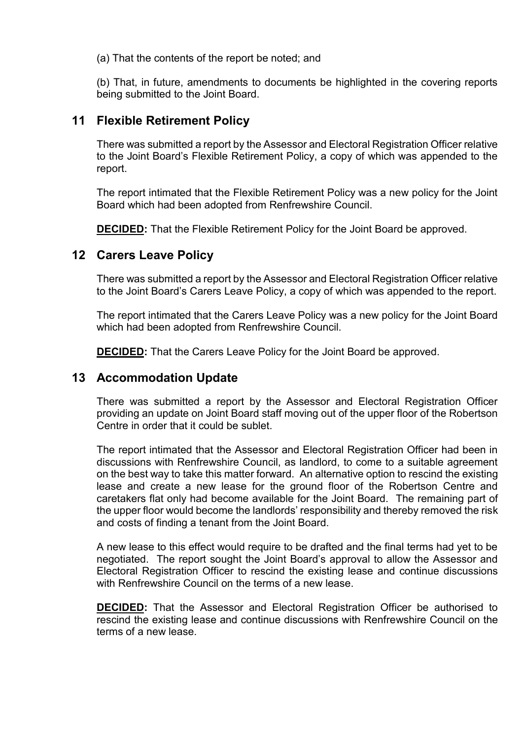(a) That the contents of the report be noted; and

(b) That, in future, amendments to documents be highlighted in the covering reports being submitted to the Joint Board.

#### **11 Flexible Retirement Policy**

There was submitted a report by the Assessor and Electoral Registration Officer relative to the Joint Board's Flexible Retirement Policy, a copy of which was appended to the report.

The report intimated that the Flexible Retirement Policy was a new policy for the Joint Board which had been adopted from Renfrewshire Council.

**DECIDED:** That the Flexible Retirement Policy for the Joint Board be approved.

#### **12 Carers Leave Policy**

There was submitted a report by the Assessor and Electoral Registration Officer relative to the Joint Board's Carers Leave Policy, a copy of which was appended to the report.

The report intimated that the Carers Leave Policy was a new policy for the Joint Board which had been adopted from Renfrewshire Council.

**DECIDED:** That the Carers Leave Policy for the Joint Board be approved.

#### **13 Accommodation Update**

There was submitted a report by the Assessor and Electoral Registration Officer providing an update on Joint Board staff moving out of the upper floor of the Robertson Centre in order that it could be sublet.

The report intimated that the Assessor and Electoral Registration Officer had been in discussions with Renfrewshire Council, as landlord, to come to a suitable agreement on the best way to take this matter forward. An alternative option to rescind the existing lease and create a new lease for the ground floor of the Robertson Centre and caretakers flat only had become available for the Joint Board. The remaining part of the upper floor would become the landlords' responsibility and thereby removed the risk and costs of finding a tenant from the Joint Board.

A new lease to this effect would require to be drafted and the final terms had yet to be negotiated. The report sought the Joint Board's approval to allow the Assessor and Electoral Registration Officer to rescind the existing lease and continue discussions with Renfrewshire Council on the terms of a new lease.

**DECIDED:** That the Assessor and Electoral Registration Officer be authorised to rescind the existing lease and continue discussions with Renfrewshire Council on the terms of a new lease.